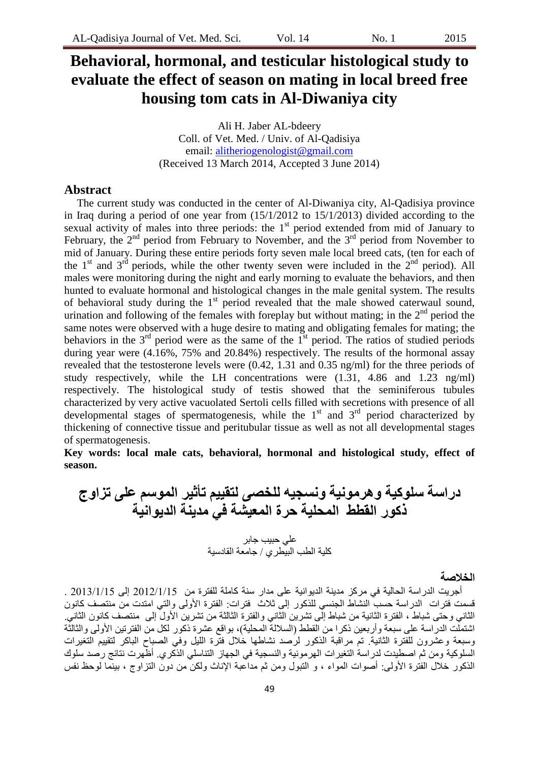# **Behavioral, hormonal, and testicular histological study to evaluate the effect of season on mating in local breed free housing tom cats in Al-Diwaniya city**

Ali H. Jaber AL-bdeery Coll. of Vet. Med. / Univ. of Al-Qadisiya email: [alitheriogenologist@gmail.com](mailto:alitheriogenologist@gmail.com) (Received 13 March 2014, Accepted 3 June 2014)

## **Abstract**

The current study was conducted in the center of Al-Diwaniya city, Al-Qadisiya province in Iraq during a period of one year from (15/1/2012 to 15/1/2013) divided according to the sexual activity of males into three periods: the  $1<sup>st</sup>$  period extended from mid of January to February, the  $2<sup>nd</sup>$  period from February to November, and the  $3<sup>rd</sup>$  period from November to mid of January. During these entire periods forty seven male local breed cats, (ten for each of the  $1<sup>st</sup>$  and  $3<sup>rd</sup>$  periods, while the other twenty seven were included in the  $2<sup>nd</sup>$  period). All males were monitoring during the night and early morning to evaluate the behaviors, and then hunted to evaluate hormonal and histological changes in the male genital system. The results of behavioral study during the  $1<sup>st</sup>$  period revealed that the male showed caterwaul sound, urination and following of the females with foreplay but without mating; in the  $2<sup>nd</sup>$  period the same notes were observed with a huge desire to mating and obligating females for mating; the behaviors in the  $3<sup>rd</sup>$  period were as the same of the  $1<sup>st</sup>$  period. The ratios of studied periods during year were (4.16%, 75% and 20.84%) respectively. The results of the hormonal assay revealed that the testosterone levels were (0.42, 1.31 and 0.35 ng/ml) for the three periods of study respectively, while the LH concentrations were (1.31, 4.86 and 1.23 ng/ml) respectively. The histological study of testis showed that the seminiferous tubules characterized by very active vacuolated Sertoli cells filled with secretions with presence of all developmental stages of spermatogenesis, while the  $1<sup>st</sup>$  and  $3<sup>rd</sup>$  period characterized by thickening of connective tissue and peritubular tissue as well as not all developmental stages of spermatogenesis.

**Key words: local male cats, behavioral, hormonal and histological study, effect of season.** 

**دراسة سلوكية وهرمونية ونسجيه للخصى لتقييم تأثير الموسم على تزاوج ركور القطط المحلية حرة المعيشة في مذينة الذيوانية** عيٍ عبُب صببش ميُت اىطب اىبُطشٌ / صبٍعت اىقبدسُت

**الخالصة**

أجريت الدراسة الحالية في مركز مدينة الديوانية على مدار سنة كاملة للفترة من 2012/1/15 إلى 2013/1/15 . .<br>قسمت فترات الدراسة حسب النشاط الجنسي للذكور إلى ثلاث فترات: الفترة الأولى والتي امتدت من منتصف كانون الثاني وحتى شباط ، الفتر ة الثانية من شباط إلَّى تشرين الثاني والفترة الثالثة من تشرين الأول إلى ٍ منتصف كانون الثاني اشتمَلَّت الدر اسة على سبعة وأربعين ذكر ا من القطط (السلالة المحلية)، بواقع عشرة ذكور لكل من الفترتين الأولى والثالثَّة وسبعة وعشرون للفترة الثانية. تم مراقبة الذكور لرُّصد نشاطها خلال فتّرة الليل وفي الصباح الباكر لتقييم التغيرات السلوكية ومن ثمّ اصطُيدت لدراسة التغيرات المهرمونية والنسجية في الجهاز التناسلي الذكري ِ أظهرت نتائج رصد سلوك الذكور خلال الفترة الأولى: أصوات المواء ، و النبول ومن ثم مداعبة الإناث ولكن من دون النز اوج ، بينّما لوحظ نفس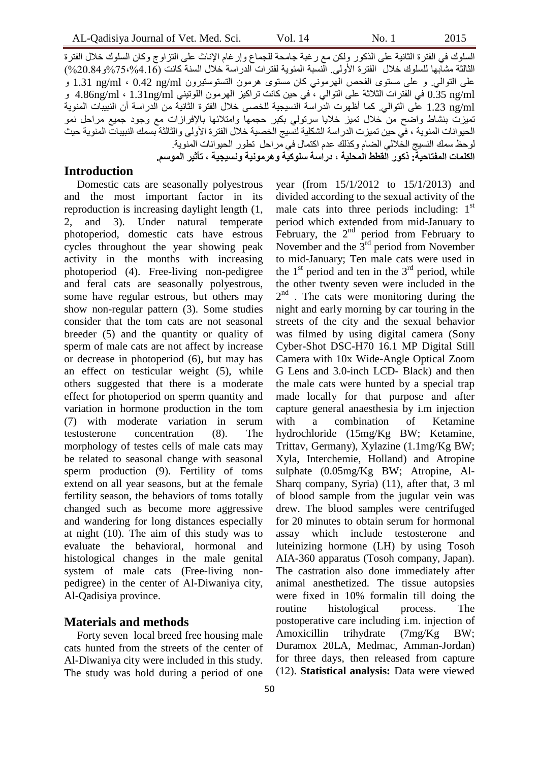السلوك في الفترة الثانية على الذكور ولكن مع رغبة جامحة للجماع وإرغام الإناث على التزاوج وكان السلوك خلال الفترة الثالثة مشابها للسلوك خلال الفترة الأولى. الّنسبة المئوية لفترات الدراسة خلال السنة كانت (4.16%75،%و20.84%) على التوالي. و على مستوى الفحص الهرموني كان مستوى هرمون التستوستيرون ng/ml ، 0.42 ng/ml 1.31 و ml/ng 0.35 فٍ اىفخشاث اىزالرت عيً اىخىاىٍ ، فٍ عُِ مبّج حشامُض اىهشٍىُ اىيىحٍُْ ml/ng1.31 ، ml/ng4.86 و ng/ml على التوالي. كما أظهرت الدراسة النسيجية للخصى خلال الْفَتَرة الثَّانيَّة من الدراسة أن النبيبات المنوية تَميزت بنشاط واضح من خلال تميز خلايا سرتولي بكبر حجمها وامتلائها بالإفرازات مع وجود جميع مراحل نمو الْحيوانات المنوية ، في حين تميزت الدراسة الشكلية لنسيج الخصية خلال الفترة الأولى والثالثة بسمك النبيبات المنوية حيث لوحظ سمك النسيج الخَلالي الضبام وكذلك عدم اكتمال في مراحل تطور الحيوانات المنوية. **الكلمات المفتاحية: ركور القطط المحلية ، دراسة سلوكية وهرمونية ونسيجية ، تأثير الموسم.**

#### **Introduction**

Domestic cats are seasonally polyestrous and the most important factor in its reproduction is increasing daylight length (1, 2, and 3). Under natural temperate photoperiod, domestic cats have estrous cycles throughout the year showing peak activity in the months with increasing photoperiod (4). Free-living non-pedigree and feral cats are seasonally polyestrous, some have regular estrous, but others may show non-regular pattern (3). Some studies consider that the tom cats are not seasonal breeder (5) and the quantity or quality of sperm of male cats are not affect by increase or decrease in photoperiod (6), but may has an effect on testicular weight (5), while others suggested that there is a moderate effect for photoperiod on sperm quantity and variation in hormone production in the tom (7) with moderate variation in serum testosterone concentration (8). The morphology of testes cells of male cats may be related to seasonal change with seasonal sperm production (9). Fertility of toms extend on all year seasons, but at the female fertility season, the behaviors of toms totally changed such as become more aggressive and wandering for long distances especially at night (10). The aim of this study was to evaluate the behavioral, hormonal and histological changes in the male genital system of male cats (Free-living nonpedigree) in the center of Al-Diwaniya city, Al-Qadisiya province.

#### **Materials and methods**

Forty seven local breed free housing male cats hunted from the streets of the center of Al-Diwaniya city were included in this study. The study was hold during a period of one year (from 15/1/2012 to 15/1/2013) and divided according to the sexual activity of the male cats into three periods including:  $1<sup>st</sup>$ period which extended from mid-January to February, the  $2<sup>nd</sup>$  period from February to November and the  $3<sup>rd</sup>$  period from November to mid-January; Ten male cats were used in the  $1<sup>st</sup>$  period and ten in the  $3<sup>rd</sup>$  period, while the other twenty seven were included in the 2<sup>nd</sup>. The cats were monitoring during the night and early morning by car touring in the streets of the city and the sexual behavior was filmed by using digital camera (Sony Cyber-Shot DSC-H70 16.1 MP Digital Still Camera with 10x Wide-Angle Optical Zoom G Lens and 3.0-inch LCD- Black) and then the male cats were hunted by a special trap made locally for that purpose and after capture general anaesthesia by i.m injection with a combination of Ketamine hydrochloride (15mg/Kg BW; Ketamine, Trittav, Germany), Xylazine (1.1mg/Kg BW; Xyla, Interchemie, Holland) and Atropine sulphate (0.05mg/Kg BW; Atropine, Al-Sharq company, Syria) (11), after that, 3 ml of blood sample from the jugular vein was drew. The blood samples were centrifuged for 20 minutes to obtain serum for hormonal assay which include testosterone and luteinizing hormone (LH) by using Tosoh AIA-360 apparatus (Tosoh company, Japan). The castration also done immediately after animal anesthetized. The tissue autopsies were fixed in 10% formalin till doing the routine histological process. The postoperative care including i.m. injection of Amoxicillin trihydrate (7mg/Kg BW; Duramox 20LA, Medmac, Amman-Jordan) for three days, then released from capture (12). **Statistical analysis:** Data were viewed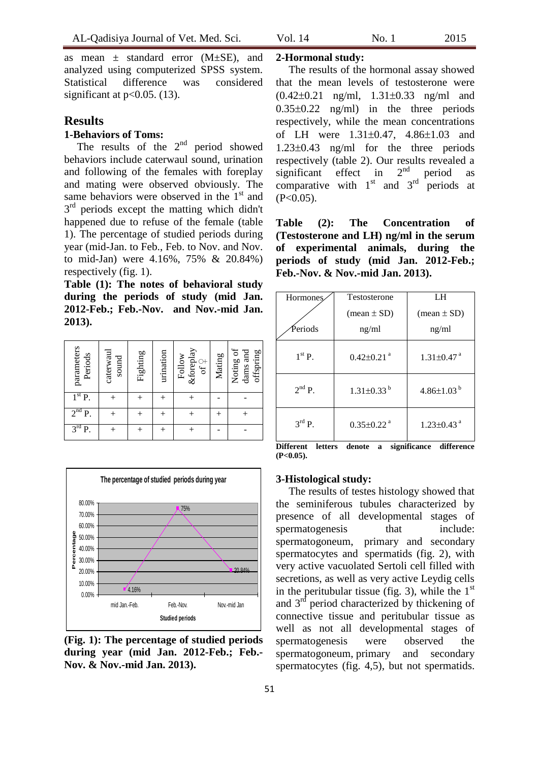as mean  $\pm$  standard error (M $\pm$ SE), and analyzed using computerized SPSS system. Statistical difference was considered

## **Results**

# **1-Behaviors of Toms:**

significant at  $p<0.05$ . (13).

The results of the  $2<sup>nd</sup>$  period showed behaviors include caterwaul sound, urination and following of the females with foreplay and mating were observed obviously. The same behaviors were observed in the  $1<sup>st</sup>$  and 3<sup>rd</sup> periods except the matting which didn't happened due to refuse of the female (table 1). The percentage of studied periods during year (mid-Jan. to Feb., Feb. to Nov. and Nov. to mid-Jan) were 4.16%, 75% & 20.84%) respectively (fig. 1).

**Table (1): The notes of behavioral study during the periods of study (mid Jan. 2012-Feb.; Feb.-Nov. and Nov.-mid Jan. 2013).**

| parameters<br>Periods | caterwaul<br>sound | Fighting | urination | <i>&amp;foreplay</i><br>Follow<br>$\Im$ | Mating | Noting of<br>dams and<br>offspring |
|-----------------------|--------------------|----------|-----------|-----------------------------------------|--------|------------------------------------|
| 1 <sup>st</sup><br>P. |                    |          |           |                                         |        |                                    |
| 2 <sup>nd</sup><br>Ρ. |                    |          |           |                                         |        |                                    |
| 3 <sup>rd</sup><br>P. |                    |          |           |                                         |        |                                    |



**(Fig. 1): The percentage of studied periods during year (mid Jan. 2012-Feb.; Feb.- Nov. & Nov.-mid Jan. 2013).**

#### **2-Hormonal study:**

The results of the hormonal assay showed that the mean levels of testosterone were  $(0.42 \pm 0.21 \text{ ng/ml}, 1.31 \pm 0.33 \text{ ng/ml} \text{ and}$  $0.35\pm0.22$  ng/ml) in the three periods respectively, while the mean concentrations of LH were  $1.31 \pm 0.47$ ,  $4.86 \pm 1.03$  and  $1.23\pm0.43$  ng/ml for the three periods respectively (table 2). Our results revealed a significant effect in  $2<sup>nd</sup>$  period as comparative with  $1<sup>st</sup>$  and  $3<sup>rd</sup>$  periods at  $(P<0.05)$ .

**Table (2): The Concentration of (Testosterone and LH) ng/ml in the serum of experimental animals, during the periods of study (mid Jan. 2012-Feb.; Feb.-Nov. & Nov.-mid Jan. 2013).**

| Hormones           | Testosterone                  | LH                            |  |
|--------------------|-------------------------------|-------------------------------|--|
|                    | $(\text{mean} \pm \text{SD})$ | $(\text{mean} \pm \text{SD})$ |  |
| Periods            | ng/ml                         | ng/ml                         |  |
| $1st$ P.           | $0.42 \pm 0.21$ <sup>a</sup>  | $1.31 \pm 0.47$ <sup>a</sup>  |  |
| $2^{nd}$ P.        | $1.31 \pm 0.33$ <sup>b</sup>  | $4.86{\pm}1.03^{b}$           |  |
| $3^{\text{rd}}$ P. | $0.35 \pm 0.22$ <sup>a</sup>  | $1.23 \pm 0.43$ <sup>a</sup>  |  |

**Different letters denote a significance difference (P<0.05).**

#### **3-Histological study:**

The results of testes histology showed that the seminiferous tubules characterized by presence of all developmental stages of spermatogenesis that include: [spermatogoneum,](http://en.wikipedia.org/wiki/Spermatogonia) primary and secondary [spermatocytes](http://en.wikipedia.org/wiki/Spermatocytes) and [spermatids](http://en.wikipedia.org/wiki/Spermatids) (fig. 2), with very active vacuolated Sertoli cell filled with secretions, as well as very active Leydig cells in the peritubular tissue (fig. 3), while the  $1<sup>st</sup>$ and 3rd period characterized by thickening of connective tissue and peritubular tissue as well as not all developmental stages of spermatogenesis were observed the [spermatogoneum,](http://en.wikipedia.org/wiki/Spermatogonia) primary and secondary [spermatocytes](http://en.wikipedia.org/wiki/Spermatocytes) (fig. 4,5), but not spermatids.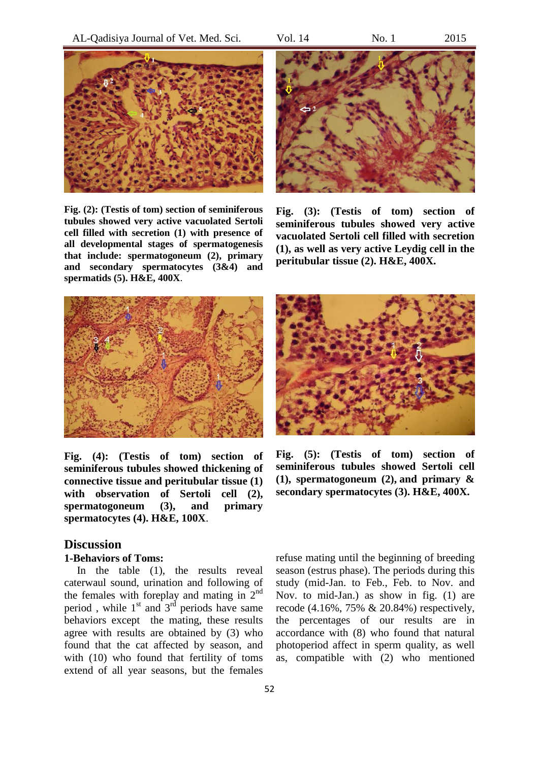

**Fig. (2): (Testis of tom) section of seminiferous tubules showed very active vacuolated Sertoli cell filled with secretion (1) with presence of all developmental stages of spermatogenesis that include: spermatogoneum (2), primary and secondary spermatocytes (3&4) and spermatids (5). H&E, 400X**.



**Fig. (3): (Testis of tom) section of seminiferous tubules showed very active vacuolated Sertoli cell filled with secretion (1), as well as very active Leydig cell in the peritubular tissue (2). H&E, 400X.**



**Fig. (4): (Testis of tom) section of seminiferous tubules showed thickening of connective tissue and peritubular tissue (1) with observation of Sertoli cell (2), spermatogoneum (3), and primary spermatocytes (4). H&E, 100X**.

## **Discussion**

#### **1-Behaviors of Toms:**

In the table (1), the results reveal caterwaul sound, urination and following of the females with foreplay and mating in  $2<sup>nd</sup>$ period, while  $1<sup>st</sup>$  and  $3<sup>rd</sup>$  periods have same behaviors except the mating, these results agree with results are obtained by (3) who found that the cat affected by season, and with (10) who found that fertility of toms extend of all year seasons, but the females



**Fig. (5): (Testis of tom) section of seminiferous tubules showed Sertoli cell (1), [spermatogoneum](http://en.wikipedia.org/wiki/Spermatogonia) (2), and primary & secondary spermatocytes (3). H&E, 400X.**

refuse mating until the beginning of breeding season (estrus phase). The periods during this study (mid-Jan. to Feb., Feb. to Nov. and Nov. to mid-Jan.) as show in fig. (1) are recode (4.16%, 75% & 20.84%) respectively, the percentages of our results are in accordance with (8) who found that natural photoperiod affect in sperm quality, as well as, compatible with (2) who mentioned